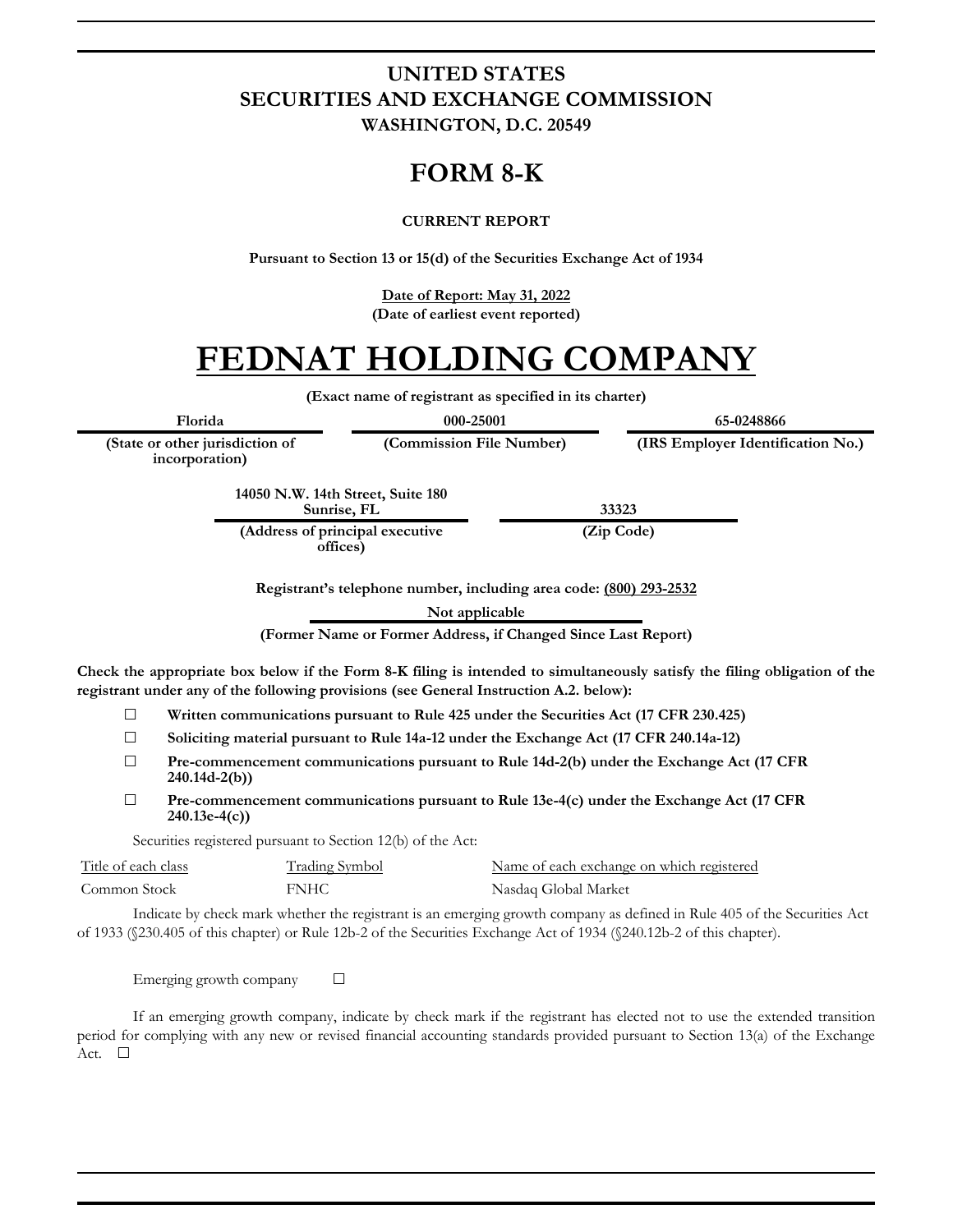### **UNITED STATES SECURITIES AND EXCHANGE COMMISSION WASHINGTON, D.C. 20549**

## **FORM 8-K**

#### **CURRENT REPORT**

**Pursuant to Section 13 or 15(d) of the Securities Exchange Act of 1934**

**Date of Report: May 31, 2022 (Date of earliest event reported)**

# **FEDNAT HOLDING COMPANY**

**(Exact name of registrant as specified in its charter)**

**(Commission File Number) (IRS Employer Identification No.)**

**Florida 000-25001 65-0248866**

**(State or other jurisdiction of incorporation)**

> **14050 N.W. 14th Street, Suite 180 Sunrise, FL 33323**

**(Address of principal executive offices)**

**(Zip Code)**

**Registrant's telephone number, including area code: (800) 293-2532**

**Not applicable**

**(Former Name or Former Address, if Changed Since Last Report)**

**Check the appropriate box below if the Form 8-K filing is intended to simultaneously satisfy the filing obligation of the registrant under any of the following provisions (see General Instruction A.2. below):**

- ☐ **Written communications pursuant to Rule 425 under the Securities Act (17 CFR 230.425)**
- ☐ **Soliciting material pursuant to Rule 14a-12 under the Exchange Act (17 CFR 240.14a-12)**
- ☐ **Pre-commencement communications pursuant to Rule 14d-2(b) under the Exchange Act (17 CFR 240.14d-2(b))**
- ☐ **Pre-commencement communications pursuant to Rule 13e-4(c) under the Exchange Act (17 CFR 240.13e-4(c))**

Securities registered pursuant to Section 12(b) of the Act:

| Title of each class | Trading Symbol | Name of each exchange on which registered |
|---------------------|----------------|-------------------------------------------|
| Common Stock        | FNHC           | Nasdaq Global Market                      |

Indicate by check mark whether the registrant is an emerging growth company as defined in Rule 405 of the Securities Act of 1933 (§230.405 of this chapter) or Rule 12b-2 of the Securities Exchange Act of 1934 (§240.12b-2 of this chapter).

Emerging growth company  $\Box$ 

If an emerging growth company, indicate by check mark if the registrant has elected not to use the extended transition period for complying with any new or revised financial accounting standards provided pursuant to Section 13(a) of the Exchange Act. □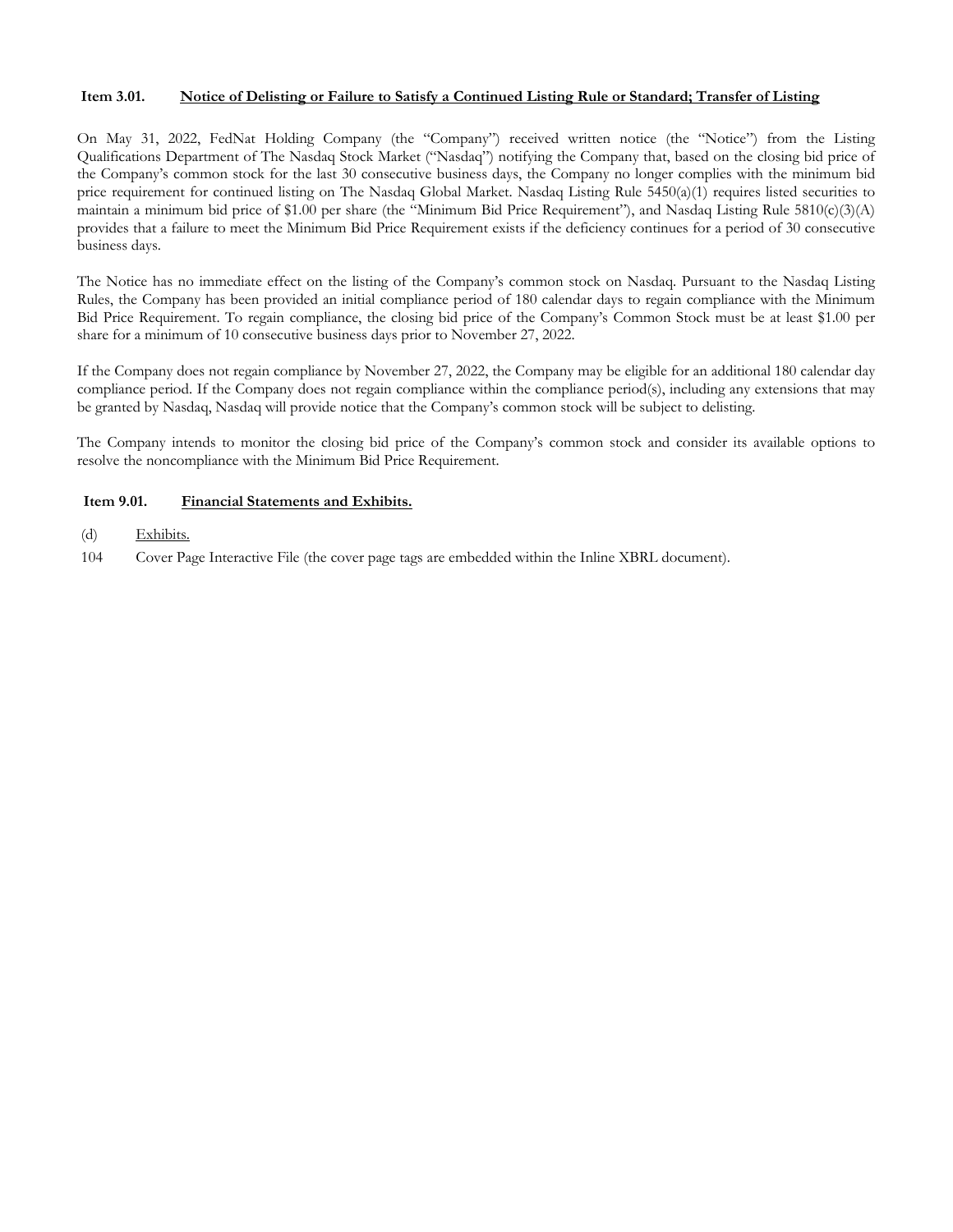#### **Item 3.01. Notice of Delisting or Failure to Satisfy a Continued Listing Rule or Standard; Transfer of Listing**

On May 31, 2022, FedNat Holding Company (the "Company") received written notice (the "Notice") from the Listing Qualifications Department of The Nasdaq Stock Market ("Nasdaq") notifying the Company that, based on the closing bid price of the Company's common stock for the last 30 consecutive business days, the Company no longer complies with the minimum bid price requirement for continued listing on The Nasdaq Global Market. Nasdaq Listing Rule 5450(a)(1) requires listed securities to maintain a minimum bid price of \$1.00 per share (the "Minimum Bid Price Requirement"), and Nasdaq Listing Rule 5810(c)(3)(A) provides that a failure to meet the Minimum Bid Price Requirement exists if the deficiency continues for a period of 30 consecutive business days.

The Notice has no immediate effect on the listing of the Company's common stock on Nasdaq. Pursuant to the Nasdaq Listing Rules, the Company has been provided an initial compliance period of 180 calendar days to regain compliance with the Minimum Bid Price Requirement. To regain compliance, the closing bid price of the Company's Common Stock must be at least \$1.00 per share for a minimum of 10 consecutive business days prior to November 27, 2022.

If the Company does not regain compliance by November 27, 2022, the Company may be eligible for an additional 180 calendar day compliance period. If the Company does not regain compliance within the compliance period(s), including any extensions that may be granted by Nasdaq, Nasdaq will provide notice that the Company's common stock will be subject to delisting.

The Company intends to monitor the closing bid price of the Company's common stock and consider its available options to resolve the noncompliance with the Minimum Bid Price Requirement.

#### **Item 9.01. Financial Statements and Exhibits.**

- (d) Exhibits.
- 104 Cover Page Interactive File (the cover page tags are embedded within the Inline XBRL document).